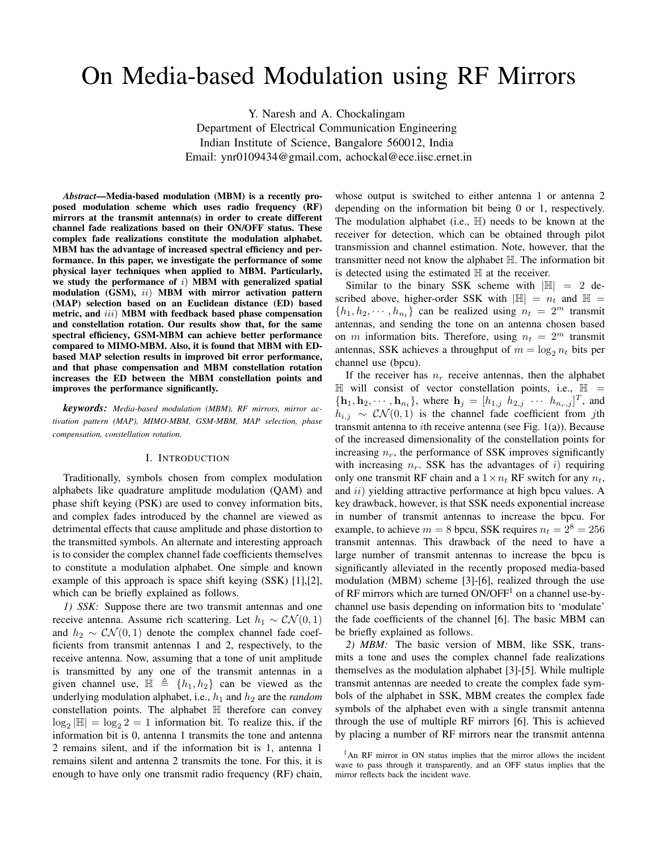# On Media-based Modulation using RF Mirrors

Y. Naresh and A. Chockalingam Department of Electrical Communication Engineering Indian Institute of Science, Bangalore 560012, India Email: ynr0109434@gmail.com, achockal@ece.iisc.ernet.in

*Abstract*—Media-based modulation (MBM) is a recently proposed modulation scheme which uses radio frequency (RF) mirrors at the transmit antenna(s) in order to create different channel fade realizations based on their ON/OFF status. These complex fade realizations constitute the modulation alphabet. MBM has the advantage of increased spectral efficiency and performance. In this paper, we investigate the performance of some physical layer techniques when applied to MBM. Particularly, we study the performance of  $i)$  MBM with generalized spatial modulation (GSM), ii) MBM with mirror activation pattern (MAP) selection based on an Euclidean distance (ED) based metric, and *iii*) MBM with feedback based phase compensation and constellation rotation. Our results show that, for the same spectral efficiency, GSM-MBM can achieve better performance compared to MIMO-MBM. Also, it is found that MBM with EDbased MAP selection results in improved bit error performance, and that phase compensation and MBM constellation rotation increases the ED between the MBM constellation points and improves the performance significantly.

*keywords: Media-based modulation (MBM), RF mirrors, mirror activation pattern (MAP), MIMO-MBM, GSM-MBM, MAP selection, phase compensation, constellation rotation.*

#### I. INTRODUCTION

Traditionally, symbols chosen from complex modulation alphabets like quadrature amplitude modulation (QAM) and phase shift keying (PSK) are used to convey information bits, and complex fades introduced by the channel are viewed as detrimental effects that cause amplitude and phase distortion to the transmitted symbols. An alternate and interesting approach is to consider the complex channel fade coefficients themselves to constitute a modulation alphabet. One simple and known example of this approach is space shift keying (SSK) [1],[2], which can be briefly explained as follows.

*1) SSK:* Suppose there are two transmit antennas and one receive antenna. Assume rich scattering. Let  $h_1 \sim \mathcal{CN}(0, 1)$ and  $h_2 \sim \mathcal{CN}(0, 1)$  denote the complex channel fade coefficients from transmit antennas 1 and 2, respectively, to the receive antenna. Now, assuming that a tone of unit amplitude is transmitted by any one of the transmit antennas in a given channel use,  $\mathbb{H} \triangleq \{h_1, h_2\}$  can be viewed as the underlying modulation alphabet, i.e.,  $h_1$  and  $h_2$  are the *random* constellation points. The alphabet H therefore can convey  $\log_2 |\mathbb{H}| = \log_2 2 = 1$  information bit. To realize this, if the information bit is 0, antenna 1 transmits the tone and antenna 2 remains silent, and if the information bit is 1, antenna 1 remains silent and antenna 2 transmits the tone. For this, it is enough to have only one transmit radio frequency (RF) chain,

whose output is switched to either antenna 1 or antenna 2 depending on the information bit being 0 or 1, respectively. The modulation alphabet (i.e.,  $\mathbb{H}$ ) needs to be known at the receiver for detection, which can be obtained through pilot transmission and channel estimation. Note, however, that the transmitter need not know the alphabet H. The information bit is detected using the estimated  $H$  at the receiver.

Similar to the binary SSK scheme with  $\mathbb{H}$  = 2 described above, higher-order SSK with  $|\mathbb{H}| = n_t$  and  $\mathbb{H} =$  $\{h_1, h_2, \dots, h_{n_t}\}\)$  can be realized using  $n_t = 2^m$  transmit antennas, and sending the tone on an antenna chosen based on m information bits. Therefore, using  $n_t = 2^m$  transmit antennas, SSK achieves a throughput of  $m = \log_2 n_t$  bits per channel use (bpcu).

If the receiver has  $n_r$  receive antennas, then the alphabet  $\mathbb H$  will consist of vector constellation points, i.e.,  $\mathbb H$  =  ${\{\mathbf h_1, \mathbf h_2, \cdots, \mathbf h_{n_t}\}}$ , where  $\mathbf h_j = [h_{1,j} \; h_{2,j} \; \cdots \; h_{n_r,j}]^T$ , and  $h_{i,j} \sim \mathcal{CN}(0,1)$  is the channel fade coefficient from jth transmit antenna to *i*th receive antenna (see Fig.  $1(a)$ ). Because of the increased dimensionality of the constellation points for increasing  $n_r$ , the performance of SSK improves significantly with increasing  $n_r$ . SSK has the advantages of i) requiring only one transmit RF chain and a  $1 \times n_t$  RF switch for any  $n_t$ , and *ii*) yielding attractive performance at high bpcu values. A key drawback, however, is that SSK needs exponential increase in number of transmit antennas to increase the bpcu. For example, to achieve  $m = 8$  bpcu, SSK requires  $n_t = 2^8 = 256$ transmit antennas. This drawback of the need to have a large number of transmit antennas to increase the bpcu is significantly alleviated in the recently proposed media-based modulation (MBM) scheme [3]-[6], realized through the use of RF mirrors which are turned  $ON/OFF<sup>1</sup>$  on a channel use-bychannel use basis depending on information bits to 'modulate' the fade coefficients of the channel [6]. The basic MBM can be briefly explained as follows.

*2) MBM:* The basic version of MBM, like SSK, transmits a tone and uses the complex channel fade realizations themselves as the modulation alphabet [3]-[5]. While multiple transmit antennas are needed to create the complex fade symbols of the alphabet in SSK, MBM creates the complex fade symbols of the alphabet even with a single transmit antenna through the use of multiple RF mirrors [6]. This is achieved by placing a number of RF mirrors near the transmit antenna

<sup>&</sup>lt;sup>1</sup>An RF mirror in ON status implies that the mirror allows the incident wave to pass through it transparently, and an OFF status implies that the mirror reflects back the incident wave.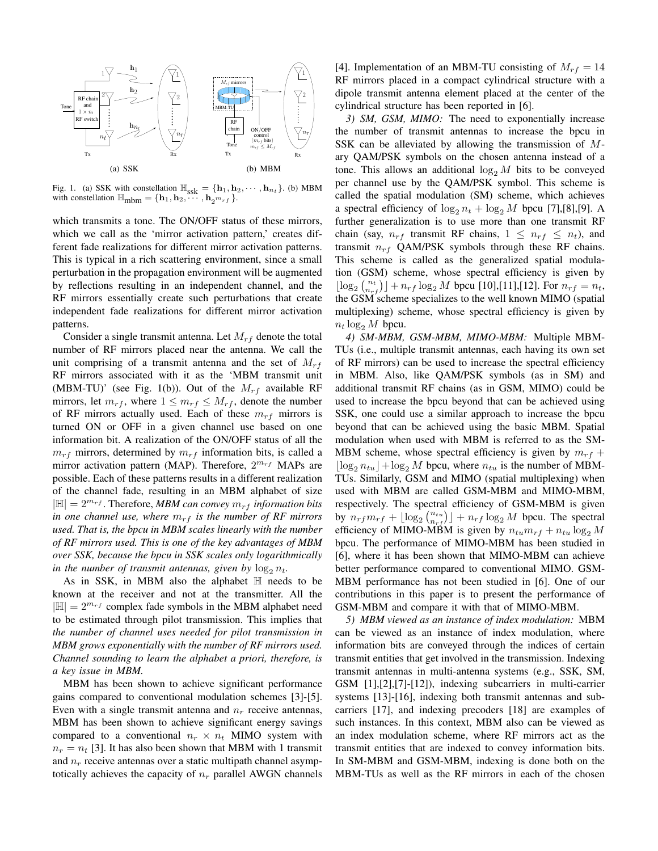

Fig. 1. (a) SSK with constellation  $\mathbb{H}_{ssk} = {\mathbf{h}_1, \mathbf{h}_2, \cdots, \mathbf{h}_{n_t}}$ . (b) MBM with constellation  $\mathbb{H}_{\text{mbm}} = {\mathbf{h}_1, \mathbf{h}_2, \cdots, \mathbf{h}_2^{m_{rf}}}$ .

which transmits a tone. The ON/OFF status of these mirrors, which we call as the 'mirror activation pattern,' creates different fade realizations for different mirror activation patterns. This is typical in a rich scattering environment, since a small perturbation in the propagation environment will be augmented by reflections resulting in an independent channel, and the RF mirrors essentially create such perturbations that create independent fade realizations for different mirror activation patterns.

Consider a single transmit antenna. Let  $M_{rf}$  denote the total number of RF mirrors placed near the antenna. We call the unit comprising of a transmit antenna and the set of  $M_{rf}$ RF mirrors associated with it as the 'MBM transmit unit (MBM-TU)' (see Fig. 1(b)). Out of the  $M_{rf}$  available RF mirrors, let  $m_{rf}$ , where  $1 \leq m_{rf} \leq M_{rf}$ , denote the number of RF mirrors actually used. Each of these  $m_{rf}$  mirrors is turned ON or OFF in a given channel use based on one information bit. A realization of the ON/OFF status of all the  $m_{rf}$  mirrors, determined by  $m_{rf}$  information bits, is called a mirror activation pattern (MAP). Therefore,  $2^{m_{rf}}$  MAPs are possible. Each of these patterns results in a different realization of the channel fade, resulting in an MBM alphabet of size  $|\mathbb{H}| = 2^{m_{rf}}$ . Therefore, *MBM can convey*  $m_{rf}$  *information bits in one channel use, where*  $m_{rf}$  *is the number of RF mirrors used. That is, the bpcu in MBM scales linearly with the number of RF mirrors used. This is one of the key advantages of MBM over SSK, because the bpcu in SSK scales only logarithmically in the number of transmit antennas, given by*  $\log_2 n_t$ .

As in SSK, in MBM also the alphabet  $H$  needs to be known at the receiver and not at the transmitter. All the  $|\mathbb{H}| = 2^{m_{rf}}$  complex fade symbols in the MBM alphabet need to be estimated through pilot transmission. This implies that *the number of channel uses needed for pilot transmission in MBM grows exponentially with the number of RF mirrors used. Channel sounding to learn the alphabet a priori, therefore, is a key issue in MBM.*

MBM has been shown to achieve significant performance gains compared to conventional modulation schemes [3]-[5]. Even with a single transmit antenna and  $n_r$  receive antennas, MBM has been shown to achieve significant energy savings compared to a conventional  $n_r \times n_t$  MIMO system with  $n_r = n_t$  [3]. It has also been shown that MBM with 1 transmit and  $n_r$  receive antennas over a static multipath channel asymptotically achieves the capacity of  $n_r$  parallel AWGN channels

[4]. Implementation of an MBM-TU consisting of  $M_{rf} = 14$ RF mirrors placed in a compact cylindrical structure with a dipole transmit antenna element placed at the center of the cylindrical structure has been reported in [6].

*3) SM, GSM, MIMO:* The need to exponentially increase the number of transmit antennas to increase the bpcu in SSK can be alleviated by allowing the transmission of Mary QAM/PSK symbols on the chosen antenna instead of a tone. This allows an additional  $\log_2 M$  bits to be conveyed per channel use by the QAM/PSK symbol. This scheme is called the spatial modulation (SM) scheme, which achieves a spectral efficiency of  $\log_2 n_t + \log_2 M$  bpcu [7],[8],[9]. A further generalization is to use more than one transmit RF chain (say,  $n_{rf}$  transmit RF chains,  $1 \leq n_{rf} \leq n_t$ ), and transmit  $n_{rf}$  QAM/PSK symbols through these RF chains. This scheme is called as the generalized spatial modulation (GSM) scheme, whose spectral efficiency is given by  $\lfloor \log_2 {n_t \choose n_{rf}} \rfloor + n_{rf} \log_2 M$  bpcu [10],[11],[12]. For  $n_{rf} = n_t$ , the GSM scheme specializes to the well known MIMO (spatial multiplexing) scheme, whose spectral efficiency is given by  $n_t \log_2 M$  bpcu.

*4) SM-MBM, GSM-MBM, MIMO-MBM:* Multiple MBM-TUs (i.e., multiple transmit antennas, each having its own set of RF mirrors) can be used to increase the spectral efficiency in MBM. Also, like QAM/PSK symbols (as in SM) and additional transmit RF chains (as in GSM, MIMO) could be used to increase the bpcu beyond that can be achieved using SSK, one could use a similar approach to increase the bpcu beyond that can be achieved using the basic MBM. Spatial modulation when used with MBM is referred to as the SM-MBM scheme, whose spectral efficiency is given by  $m_{rf}$  +  $\lfloor \log_2 n_{tu} \rfloor + \log_2 M$  bpcu, where  $n_{tu}$  is the number of MBM-TUs. Similarly, GSM and MIMO (spatial multiplexing) when used with MBM are called GSM-MBM and MIMO-MBM, respectively. The spectral efficiency of GSM-MBM is given by  $n_{rf}m_{rf} + \lfloor \log_2 {n_{t} \choose n_{rf}} \rfloor + n_{rf} \log_2 M$  bpcu. The spectral efficiency of MIMO-MBM is given by  $n_{tu}m_{rf} + n_{tu} \log_2 M$ bpcu. The performance of MIMO-MBM has been studied in [6], where it has been shown that MIMO-MBM can achieve better performance compared to conventional MIMO. GSM-MBM performance has not been studied in [6]. One of our contributions in this paper is to present the performance of GSM-MBM and compare it with that of MIMO-MBM.

*5) MBM viewed as an instance of index modulation:* MBM can be viewed as an instance of index modulation, where information bits are conveyed through the indices of certain transmit entities that get involved in the transmission. Indexing transmit antennas in multi-antenna systems (e.g., SSK, SM, GSM [1],[2],[7]-[12]), indexing subcarriers in multi-carrier systems [13]-[16], indexing both transmit antennas and subcarriers [17], and indexing precoders [18] are examples of such instances. In this context, MBM also can be viewed as an index modulation scheme, where RF mirrors act as the transmit entities that are indexed to convey information bits. In SM-MBM and GSM-MBM, indexing is done both on the MBM-TUs as well as the RF mirrors in each of the chosen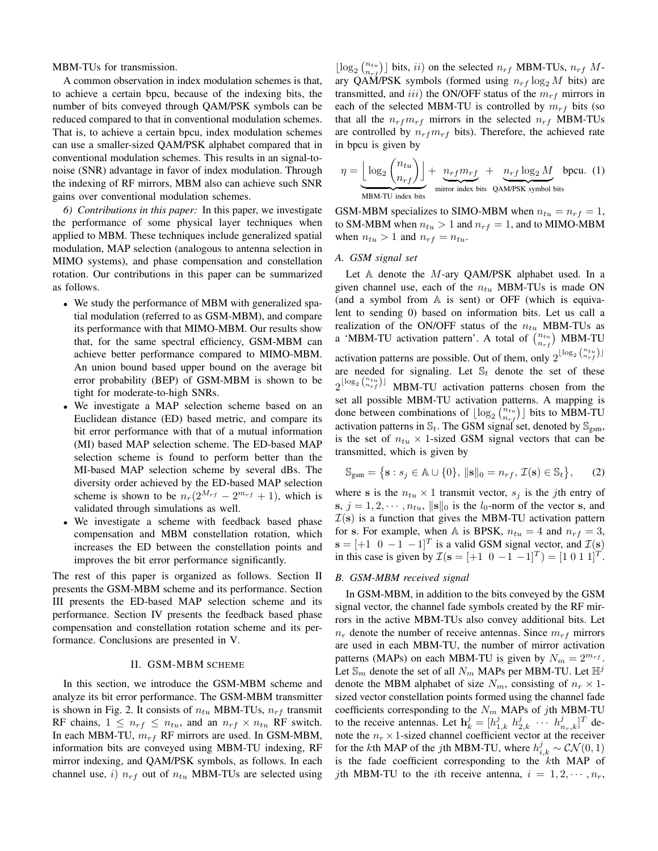MBM-TUs for transmission.

A common observation in index modulation schemes is that, to achieve a certain bpcu, because of the indexing bits, the number of bits conveyed through QAM/PSK symbols can be reduced compared to that in conventional modulation schemes. That is, to achieve a certain bpcu, index modulation schemes can use a smaller-sized QAM/PSK alphabet compared that in conventional modulation schemes. This results in an signal-tonoise (SNR) advantage in favor of index modulation. Through the indexing of RF mirrors, MBM also can achieve such SNR gains over conventional modulation schemes.

*6) Contributions in this paper:* In this paper, we investigate the performance of some physical layer techniques when applied to MBM. These techniques include generalized spatial modulation, MAP selection (analogous to antenna selection in MIMO systems), and phase compensation and constellation rotation. Our contributions in this paper can be summarized as follows.

- We study the performance of MBM with generalized spatial modulation (referred to as GSM-MBM), and compare its performance with that MIMO-MBM. Our results show that, for the same spectral efficiency, GSM-MBM can achieve better performance compared to MIMO-MBM. An union bound based upper bound on the average bit error probability (BEP) of GSM-MBM is shown to be tight for moderate-to-high SNRs.
- We investigate a MAP selection scheme based on an Euclidean distance (ED) based metric, and compare its bit error performance with that of a mutual information (MI) based MAP selection scheme. The ED-based MAP selection scheme is found to perform better than the MI-based MAP selection scheme by several dBs. The diversity order achieved by the ED-based MAP selection scheme is shown to be  $n_r(2^{M_{rf}} - 2^{m_{rf}} + 1)$ , which is validated through simulations as well.
- We investigate a scheme with feedback based phase compensation and MBM constellation rotation, which increases the ED between the constellation points and improves the bit error performance significantly.

The rest of this paper is organized as follows. Section II presents the GSM-MBM scheme and its performance. Section III presents the ED-based MAP selection scheme and its performance. Section IV presents the feedback based phase compensation and constellation rotation scheme and its performance. Conclusions are presented in V.

# II. GSM-MBM SCHEME

In this section, we introduce the GSM-MBM scheme and analyze its bit error performance. The GSM-MBM transmitter is shown in Fig. 2. It consists of  $n_{tu}$  MBM-TUs,  $n_{rf}$  transmit RF chains,  $1 \leq n_{rf} \leq n_{tu}$ , and an  $n_{rf} \times n_{tu}$  RF switch. In each MBM-TU,  $m_{rf}$  RF mirrors are used. In GSM-MBM, information bits are conveyed using MBM-TU indexing, RF mirror indexing, and QAM/PSK symbols, as follows. In each channel use, i)  $n_{rf}$  out of  $n_{tu}$  MBM-TUs are selected using

 $\lfloor \log_2 {n_{trj}} \rfloor$  bits, ii) on the selected  $n_{rf}$  MBM-TUs,  $n_{rf}$  Mary QAM/PSK symbols (formed using  $n_{rf} \log_2 M$  bits) are transmitted, and iii) the ON/OFF status of the  $m_{rf}$  mirrors in each of the selected MBM-TU is controlled by  $m_{rf}$  bits (so that all the  $n_{rf}m_{rf}$  mirrors in the selected  $n_{rf}$  MBM-TUs are controlled by  $n_{rf}m_{rf}$  bits). Therefore, the achieved rate in bpcu is given by

$$
\eta = \underbrace{\left\lfloor \log_2 \binom{n_{tu}}{n_{rf}} \right\rfloor}_{\text{MBM-TU index bits}} + \underbrace{n_{rf} m_{rf}}_{\text{mirror index bits}} + \underbrace{n_{rf} \log_2 M}_{\text{QAM/PSK symbol bits}}
$$

GSM-MBM specializes to SIMO-MBM when  $n_{tu} = n_{rf} = 1$ , to SM-MBM when  $n_{tu} > 1$  and  $n_{rf} = 1$ , and to MIMO-MBM when  $n_{tu} > 1$  and  $n_{rf} = n_{tu}$ .

# *A. GSM signal set*

Let  $A$  denote the M-ary QAM/PSK alphabet used. In a given channel use, each of the  $n_{tu}$  MBM-TUs is made ON (and a symbol from  $A$  is sent) or OFF (which is equivalent to sending 0) based on information bits. Let us call a realization of the ON/OFF status of the  $n_{tu}$  MBM-TUs as a 'MBM-TU activation pattern'. A total of  $\binom{n_{tu}}{n_{rf}}$  MBM-TU activation patterns are possible. Out of them, only  $2^{\lfloor \log_2 \binom{n_{tu}}{n_{rf}} \rfloor}$ are needed for signaling. Let  $\mathbb{S}_t$  denote the set of these  $2^{\lfloor \log_2 \binom{n_{tu}}{n_{rf}} \rfloor}$  MBM-TU activation patterns chosen from the set all possible MBM-TU activation patterns. A mapping is done between combinations of  $\lfloor \log_2 {\binom{n_{tu}}{n_{rf}}} \rfloor$  bits to MBM-TU activation patterns in  $\mathbb{S}_t$ . The GSM signal set, denoted by  $\mathbb{S}_{\text{gsm}}$ , is the set of  $n_{tu} \times 1$ -sized GSM signal vectors that can be transmitted, which is given by

$$
\mathbb{S}_{\text{gsm}} = \left\{ \mathbf{s} : s_j \in \mathbb{A} \cup \{0\}, \, \|\mathbf{s}\|_0 = n_{rf}, \, \mathcal{I}(\mathbf{s}) \in \mathbb{S}_t \right\},\qquad(2)
$$

where s is the  $n_{tu} \times 1$  transmit vector,  $s_j$  is the jth entry of s,  $j = 1, 2, \dots, n_{tu}$ ,  $\|\mathbf{s}\|_0$  is the l<sub>0</sub>-norm of the vector s, and  $\mathcal{I}(s)$  is a function that gives the MBM-TU activation pattern for s. For example, when A is BPSK,  $n_{tu} = 4$  and  $n_{rf} = 3$ ,  $\mathbf{s} = [+1 \ 0 \ -1 \ -1]^T$  is a valid GSM signal vector, and  $\mathcal{I}(\mathbf{s})$ in this case is given by  $\mathcal{I}(\mathbf{s} = [+1 \ 0 \ -1 \ -1]^T) = [1 \ 0 \ 1 \ 1]^T$ .

# *B. GSM-MBM received signal*

In GSM-MBM, in addition to the bits conveyed by the GSM signal vector, the channel fade symbols created by the RF mirrors in the active MBM-TUs also convey additional bits. Let  $n_r$  denote the number of receive antennas. Since  $m_{rf}$  mirrors are used in each MBM-TU, the number of mirror activation patterns (MAPs) on each MBM-TU is given by  $N_m = 2^{m_{rf}}$ . Let  $\mathbb{S}_m$  denote the set of all  $N_m$  MAPs per MBM-TU. Let  $\mathbb{H}^j$ denote the MBM alphabet of size  $N_m$ , consisting of  $n_r \times 1$ sized vector constellation points formed using the channel fade coefficients corresponding to the  $N_m$  MAPs of jth MBM-TU to the receive antennas. Let  $\mathbf{h}_k^j = [h_{1,k}^j \; h_{2,k}^j \; \cdots \; h_{n_r,k}^j]^T$  denote the  $n_r \times 1$ -sized channel coefficient vector at the receiver for the *k*th MAP of the *j*th MBM-TU, where  $h_{i,k}^j \sim \mathcal{CN}(0, 1)$ is the fade coefficient corresponding to the kth MAP of jth MBM-TU to the *i*th receive antenna,  $i = 1, 2, \dots, n_r$ ,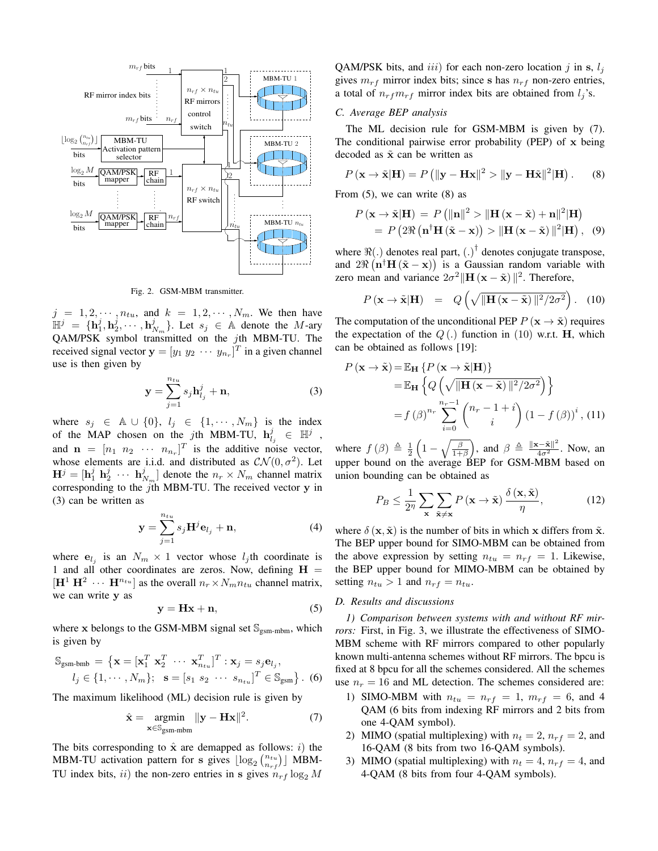

Fig. 2. GSM-MBM transmitter.

 $j = 1, 2, \dots, n_{tu}$ , and  $k = 1, 2, \dots, N_m$ . We then have  $\mathbb{H}^j = {\mathbf{h}}_1^j, \mathbf{h}_2^j, \cdots, \mathbf{h}_{N_m}^j$ . Let  $s_j \in \mathbb{A}$  denote the M-ary QAM/PSK symbol transmitted on the jth MBM-TU. The received signal vector  $\mathbf{y} = [y_1 \ y_2 \ \cdots \ y_{n_r}]^T$  in a given channel use is then given by

$$
\mathbf{y} = \sum_{j=1}^{n_{tu}} s_j \mathbf{h}_{l_j}^j + \mathbf{n},\tag{3}
$$

where  $s_j \in \mathbb{A} \cup \{0\}$ ,  $l_j \in \{1, \cdots, N_m\}$  is the index of the MAP chosen on the jth MBM-TU,  $\mathbf{h}_{l_j}^j \in \mathbb{H}^j$ , and  $\mathbf{n} = [n_1 \ n_2 \ \cdots \ n_{n_r}]^T$  is the additive noise vector, whose elements are i.i.d. and distributed as  $\mathcal{CN}(0, \sigma^2)$ . Let  $\mathbf{H}^j = [\mathbf{h}_1^j \; \mathbf{h}_2^j \; \cdots \; \mathbf{h}_{N_m}^j]$  denote the  $n_r \times N_m$  channel matrix corresponding to the jth MBM-TU. The received vector y in (3) can be written as

$$
\mathbf{y} = \sum_{j=1}^{n_{tu}} s_j \mathbf{H}^j \mathbf{e}_{l_j} + \mathbf{n},\tag{4}
$$

where  $e_{l_j}$  is an  $N_m \times 1$  vector whose  $l_j$ th coordinate is 1 and all other coordinates are zeros. Now, defining  $H =$  $[\mathbf{H}^1 \ \mathbf{H}^2 \ \cdots \ \mathbf{H}^{n_{tu}}]$  as the overall  $n_r \times N_m n_{tu}$  channel matrix, we can write y as

$$
y = Hx + n,\t\t(5)
$$

where x belongs to the GSM-MBM signal set  $\mathcal{S}_{\text{esm-mbm}}$ , which is given by

$$
\mathbb{S}_{\text{gsm-bmb}} = \left\{ \mathbf{x} = [\mathbf{x}_1^T \ \mathbf{x}_2^T \ \cdots \ \mathbf{x}_{n_{tu}}^T]^T : \mathbf{x}_j = s_j \mathbf{e}_{l_j},
$$

$$
l_j \in \{1, \cdots, N_m\}; \ \mathbf{s} = [s_1 \ s_2 \ \cdots \ s_{n_{tu}}]^T \in \mathbb{S}_{\text{gsm}} \right\}. \tag{6}
$$

The maximum likelihood (ML) decision rule is given by

$$
\hat{\mathbf{x}} = \underset{\mathbf{x} \in \mathbb{S}_{\text{gsm-mbm}}}{\operatorname{argmin}} \|\mathbf{y} - \mathbf{H}\mathbf{x}\|^2. \tag{7}
$$

The bits corresponding to  $\hat{x}$  are demapped as follows: *i*) the MBM-TU activation pattern for s gives  $\lfloor \log_2 {n_{tu} \choose n_{rf}} \rfloor$  MBM-TU index bits, ii) the non-zero entries in s gives  $n_{rf} \log_2 M$ 

QAM/PSK bits, and iii) for each non-zero location j in s,  $l_i$ gives  $m_{rf}$  mirror index bits; since s has  $n_{rf}$  non-zero entries, a total of  $n_{rf}m_{rf}$  mirror index bits are obtained from  $l_i$ 's.

## *C. Average BEP analysis*

The ML decision rule for GSM-MBM is given by (7). The conditional pairwise error probability (PEP) of x being decoded as  $\tilde{x}$  can be written as

$$
P(\mathbf{x} \to \tilde{\mathbf{x}}|\mathbf{H}) = P\left(\|\mathbf{y} - \mathbf{H}\mathbf{x}\|^2 > \|\mathbf{y} - \mathbf{H}\tilde{\mathbf{x}}\|^2|\mathbf{H}\right).
$$
 (8)

From (5), we can write (8) as

$$
P(\mathbf{x} \to \tilde{\mathbf{x}} | \mathbf{H}) = P \left( ||\mathbf{n}||^2 > ||\mathbf{H}(\mathbf{x} - \tilde{\mathbf{x}}) + \mathbf{n}||^2 |\mathbf{H} \right)
$$
  
=  $P \left( 2 \Re \left( \mathbf{n}^\dagger \mathbf{H} (\tilde{\mathbf{x}} - \mathbf{x}) \right) > ||\mathbf{H}(\mathbf{x} - \tilde{\mathbf{x}})||^2 |\mathbf{H} \right), (9)$ 

where  $\Re(.)$  denotes real part,  $(.)^{\dagger}$  denotes conjugate transpose, and  $2\Re\left(\mathbf{n}^\dagger\mathbf{H}\left(\tilde{\mathbf{x}} - \mathbf{x}\right)\right)$  is a Gaussian random variable with zero mean and variance  $2\sigma^2 \|\mathbf{H} (\mathbf{x} - \tilde{\mathbf{x}}) \|^2$ . Therefore,

$$
P(\mathbf{x} \to \tilde{\mathbf{x}} | \mathbf{H}) = Q\left(\sqrt{\|\mathbf{H}(\mathbf{x} - \tilde{\mathbf{x}})\|^2 / 2\sigma^2}\right).
$$
 (10)

The computation of the unconditional PEP  $P(\mathbf{x} \to \tilde{\mathbf{x}})$  requires the expectation of the  $Q(.)$  function in (10) w.r.t. **H**, which can be obtained as follows [19]:

$$
P(\mathbf{x} \to \tilde{\mathbf{x}}) = \mathbb{E}_{\mathbf{H}} \left\{ P(\mathbf{x} \to \tilde{\mathbf{x}} | \mathbf{H}) \right\}
$$
  
=  $\mathbb{E}_{\mathbf{H}} \left\{ Q\left( \sqrt{\|\mathbf{H}(\mathbf{x} - \tilde{\mathbf{x}})\|^2 / 2\sigma^2} \right) \right\}$   
=  $f(\beta)^{n_r} \sum_{i=0}^{n_r-1} {n_r - 1 + i \choose i} (1 - f(\beta))^i$ , (11)

where  $f(\beta) \triangleq \frac{1}{2} \left(1 - \sqrt{\frac{\beta}{1+\beta}}\right)$ , and  $\beta \triangleq \frac{\|\mathbf{x}-\tilde{\mathbf{x}}\|^2}{4\sigma^2}$ . Now, an upper bound on the average BEP for GSM-MBM based on union bounding can be obtained as

$$
P_B \le \frac{1}{2\eta} \sum_{\mathbf{x}} \sum_{\tilde{\mathbf{x}} \neq \mathbf{x}} P(\mathbf{x} \to \tilde{\mathbf{x}}) \frac{\delta(\mathbf{x}, \tilde{\mathbf{x}})}{\eta},\tag{12}
$$

where  $\delta(\mathbf{x}, \tilde{\mathbf{x}})$  is the number of bits in which x differs from  $\tilde{\mathbf{x}}$ . The BEP upper bound for SIMO-MBM can be obtained from the above expression by setting  $n_{tu} = n_{rf} = 1$ . Likewise, the BEP upper bound for MIMO-MBM can be obtained by setting  $n_{tu} > 1$  and  $n_{rf} = n_{tu}$ .

# *D. Results and discussions*

*1) Comparison between systems with and without RF mirrors:* First, in Fig. 3, we illustrate the effectiveness of SIMO-MBM scheme with RF mirrors compared to other popularly known multi-antenna schemes without RF mirrors. The bpcu is fixed at 8 bpcu for all the schemes considered. All the schemes use  $n_r = 16$  and ML detection. The schemes considered are:

- 1) SIMO-MBM with  $n_{tu} = n_{rf} = 1$ ,  $m_{rf} = 6$ , and 4 QAM (6 bits from indexing RF mirrors and 2 bits from one 4-QAM symbol).
- 2) MIMO (spatial multiplexing) with  $n_t = 2$ ,  $n_{rf} = 2$ , and 16-QAM (8 bits from two 16-QAM symbols).
- 3) MIMO (spatial multiplexing) with  $n_t = 4$ ,  $n_{rf} = 4$ , and 4-QAM (8 bits from four 4-QAM symbols).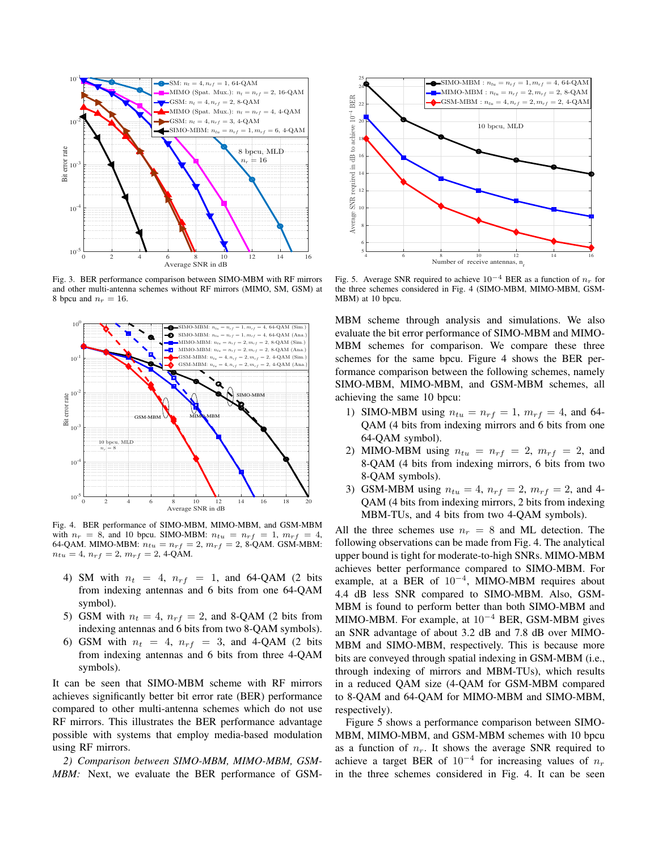

Fig. 3. BER performance comparison between SIMO-MBM with RF mirrors and other multi-antenna schemes without RF mirrors (MIMO, SM, GSM) at 8 bpcu and  $n_r = 16$ .



Fig. 4. BER performance of SIMO-MBM, MIMO-MBM, and GSM-MBM with  $n_r = 8$ , and 10 bpcu. SIMO-MBM:  $n_{tu} = n_{rf} = 1$ ,  $m_{rf} = 4$ , 64-QAM. MIMO-MBM:  $n_{tu} = n_{rf} = 2$ ,  $m_{rf} = 2$ , 8-QAM. GSM-MBM:  $n_{tu} = 4$ ,  $n_{rf} = 2$ ,  $m_{rf} = 2$ , 4-QAM.

- 4) SM with  $n_t = 4$ ,  $n_{rf} = 1$ , and 64-QAM (2 bits from indexing antennas and 6 bits from one 64-QAM symbol).
- 5) GSM with  $n_t = 4$ ,  $n_{rf} = 2$ , and 8-QAM (2 bits from indexing antennas and 6 bits from two 8-QAM symbols).
- 6) GSM with  $n_t = 4$ ,  $n_{rf} = 3$ , and 4-QAM (2 bits from indexing antennas and 6 bits from three 4-QAM symbols).

It can be seen that SIMO-MBM scheme with RF mirrors achieves significantly better bit error rate (BER) performance compared to other multi-antenna schemes which do not use RF mirrors. This illustrates the BER performance advantage possible with systems that employ media-based modulation using RF mirrors.

*2) Comparison between SIMO-MBM, MIMO-MBM, GSM-MBM:* Next, we evaluate the BER performance of GSM-



Fig. 5. Average SNR required to achieve  $10^{-4}$  BER as a function of  $n_r$  for the three schemes considered in Fig. 4 (SIMO-MBM, MIMO-MBM, GSM-MBM) at 10 bpcu.

MBM scheme through analysis and simulations. We also evaluate the bit error performance of SIMO-MBM and MIMO-MBM schemes for comparison. We compare these three schemes for the same bpcu. Figure 4 shows the BER performance comparison between the following schemes, namely SIMO-MBM, MIMO-MBM, and GSM-MBM schemes, all achieving the same 10 bpcu:

- 1) SIMO-MBM using  $n_{tu} = n_{rf} = 1$ ,  $m_{rf} = 4$ , and 64-QAM (4 bits from indexing mirrors and 6 bits from one 64-QAM symbol).
- 2) MIMO-MBM using  $n_{tu} = n_{rf} = 2$ ,  $m_{rf} = 2$ , and 8-QAM (4 bits from indexing mirrors, 6 bits from two 8-QAM symbols).
- 3) GSM-MBM using  $n_{tu} = 4$ ,  $n_{rf} = 2$ ,  $m_{rf} = 2$ , and 4-QAM (4 bits from indexing mirrors, 2 bits from indexing MBM-TUs, and 4 bits from two 4-QAM symbols).

All the three schemes use  $n_r = 8$  and ML detection. The following observations can be made from Fig. 4. The analytical upper bound is tight for moderate-to-high SNRs. MIMO-MBM achieves better performance compared to SIMO-MBM. For example, at a BER of  $10^{-4}$ , MIMO-MBM requires about 4.4 dB less SNR compared to SIMO-MBM. Also, GSM-MBM is found to perform better than both SIMO-MBM and MIMO-MBM. For example, at  $10^{-4}$  BER, GSM-MBM gives an SNR advantage of about 3.2 dB and 7.8 dB over MIMO-MBM and SIMO-MBM, respectively. This is because more bits are conveyed through spatial indexing in GSM-MBM (i.e., through indexing of mirrors and MBM-TUs), which results in a reduced QAM size (4-QAM for GSM-MBM compared to 8-QAM and 64-QAM for MIMO-MBM and SIMO-MBM, respectively).

Figure 5 shows a performance comparison between SIMO-MBM, MIMO-MBM, and GSM-MBM schemes with 10 bpcu as a function of  $n_r$ . It shows the average SNR required to achieve a target BER of  $10^{-4}$  for increasing values of  $n_r$ in the three schemes considered in Fig. 4. It can be seen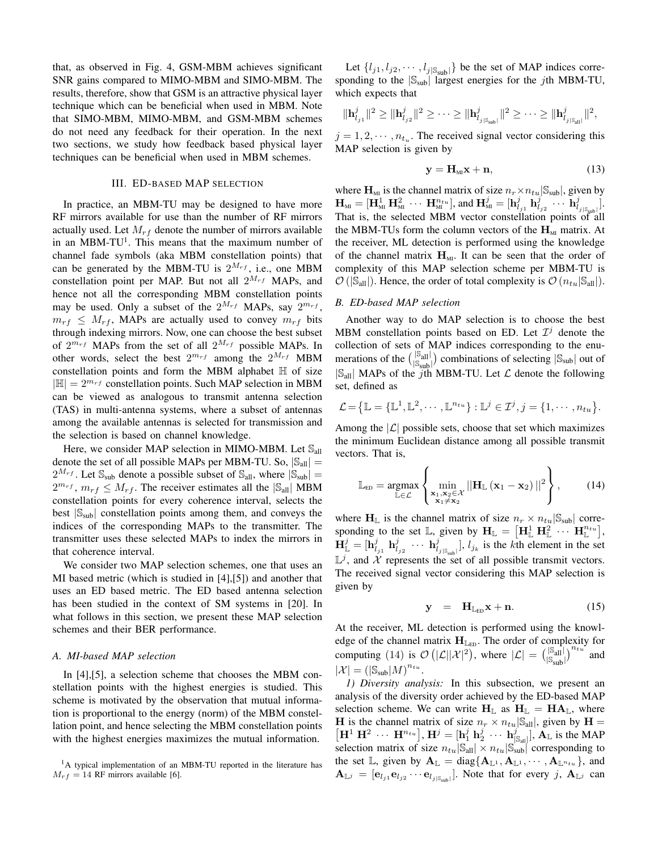that, as observed in Fig. 4, GSM-MBM achieves significant SNR gains compared to MIMO-MBM and SIMO-MBM. The results, therefore, show that GSM is an attractive physical layer technique which can be beneficial when used in MBM. Note that SIMO-MBM, MIMO-MBM, and GSM-MBM schemes do not need any feedback for their operation. In the next two sections, we study how feedback based physical layer techniques can be beneficial when used in MBM schemes.

#### III. ED-BASED MAP SELECTION

In practice, an MBM-TU may be designed to have more RF mirrors available for use than the number of RF mirrors actually used. Let  $M_{rf}$  denote the number of mirrors available in an MBM-TU<sup>1</sup>. This means that the maximum number of channel fade symbols (aka MBM constellation points) that can be generated by the MBM-TU is  $2^{M_{rf}}$ , i.e., one MBM constellation point per MAP. But not all  $2^{M_{rf}}$  MAPs, and hence not all the corresponding MBM constellation points may be used. Only a subset of the  $2^{M_{rf}}$  MAPs, say  $2^{m_{rf}}$ ,  $m_{rf} \leq M_{rf}$ , MAPs are actually used to convey  $m_{rf}$  bits through indexing mirrors. Now, one can choose the best subset of  $2^{m_{rf}}$  MAPs from the set of all  $2^{M_{rf}}$  possible MAPs. In other words, select the best  $2^{m_{rf}}$  among the  $2^{M_{rf}}$  MBM constellation points and form the MBM alphabet  $\mathbb H$  of size  $|\mathbb{H}| = 2^{m_{rf}}$  constellation points. Such MAP selection in MBM can be viewed as analogous to transmit antenna selection (TAS) in multi-antenna systems, where a subset of antennas among the available antennas is selected for transmission and the selection is based on channel knowledge.

Here, we consider MAP selection in MIMO-MBM. Let  $\mathbb{S}_{all}$ denote the set of all possible MAPs per MBM-TU. So,  $|\mathcal{S}_{all}|$  =  $2^{M_{rf}}$ . Let  $\mathbb{S}_{sub}$  denote a possible subset of  $\mathbb{S}_{all}$ , where  $|\mathbb{S}_{sub}|$  =  $2^{m_{rf}}$ ,  $m_{rf} \leq M_{rf}$ . The receiver estimates all the  $|\mathbb{S}_{all}|$  MBM constellation points for every coherence interval, selects the best  $|S_{sub}|$  constellation points among them, and conveys the indices of the corresponding MAPs to the transmitter. The transmitter uses these selected MAPs to index the mirrors in that coherence interval.

We consider two MAP selection schemes, one that uses an MI based metric (which is studied in [4],[5]) and another that uses an ED based metric. The ED based antenna selection has been studied in the context of SM systems in [20]. In what follows in this section, we present these MAP selection schemes and their BER performance.

# *A. MI-based MAP selection*

In [4],[5], a selection scheme that chooses the MBM constellation points with the highest energies is studied. This scheme is motivated by the observation that mutual information is proportional to the energy (norm) of the MBM constellation point, and hence selecting the MBM constellation points with the highest energies maximizes the mutual information.

<sup>1</sup>A typical implementation of an MBM-TU reported in the literature has  $M_{rf} = 14$  RF mirrors available [6].

Let  $\{l_{j1}, l_{j2}, \cdots, l_{j|\mathcal{S}_{\text{sub}}|}\}\$  be the set of MAP indices corresponding to the  $|S_{sub}|$  largest energies for the *j*th MBM-TU, which expects that

$$
\|\mathbf{h}_{l_{j1}}^j\|^2 \geq \|\mathbf{h}_{l_{j2}}^j\|^2 \geq \cdots \geq \|\mathbf{h}_{l_{j|\mathbb{S}_{\text{sub}}|}}^j\|^2 \geq \cdots \geq \|\mathbf{h}_{l_{j|\mathbb{S}_{\text{all}}|}}^j\|^2,
$$

 $j = 1, 2, \dots, n_{t_u}$ . The received signal vector considering this MAP selection is given by

$$
y = H_{MI}x + n,\t\t(13)
$$

where  $\mathbf{H}_{\text{MI}}$  is the channel matrix of size  $n_r \times n_{tu} |S_{\text{sub}}|$ , given by  $\mathbf{H}_{\text{MI}} = [\mathbf{H}_{\text{MI}}^1 \ \mathbf{H}_{\text{MI}}^2 \ \cdots \ \mathbf{H}_{\text{MI}}^{n_{tu}}], \text{and } \mathbf{H}_{\text{MI}}^j = [\mathbf{h}_{l_{j1}}^j \ \mathbf{h}_{l_{j2}}^j \ \cdots \ \mathbf{h}_{l_{j|\mathbb{S}_{\text{gub}}|}}^j].$ That is, the selected MBM vector constellation points of all the MBM-TUs form the column vectors of the  $H<sub>MI</sub>$  matrix. At the receiver, ML detection is performed using the knowledge of the channel matrix  $H<sub>M1</sub>$ . It can be seen that the order of complexity of this MAP selection scheme per MBM-TU is  $\mathcal{O}(|\mathbb{S}_{all}|)$ . Hence, the order of total complexity is  $\mathcal{O}(n_{tu}|\mathbb{S}_{all}|)$ .

#### *B. ED-based MAP selection*

Another way to do MAP selection is to choose the best MBM constellation points based on ED. Let  $\mathcal{I}^j$  denote the collection of sets of MAP indices corresponding to the enumerations of the  $\binom{|\mathcal{S}_{all}|}{|\mathcal{S}_{sub}|}$  combinations of selecting  $|\mathcal{S}_{sub}|$  out of  $|\mathbb{S}_{all}|$  MAPs of the j<sup>subl</sup> MBM-TU. Let  $\mathcal L$  denote the following set, defined as

$$
\mathcal{L} = \left\{ \mathbb{L} = \left\{ \mathbb{L}^1, \mathbb{L}^2, \cdots, \mathbb{L}^{n_{tu}} \right\} : \mathbb{L}^j \in \mathcal{I}^j, j = \left\{ 1, \cdots, n_{tu} \right\}.
$$

Among the  $|\mathcal{L}|$  possible sets, choose that set which maximizes the minimum Euclidean distance among all possible transmit vectors. That is,

$$
\mathbb{L}_{ED} = \underset{\mathbb{L} \in \mathcal{L}}{\operatorname{argmax}} \left\{ \underset{\mathbf{x}_1, \mathbf{x}_2 \in \mathcal{X}}{\operatorname{min}} ||\mathbf{H}_{\mathbb{L}} \left( \mathbf{x}_1 - \mathbf{x}_2 \right)||^2 \right\}, \quad (14)
$$

where  $H_{\mathbb{L}}$  is the channel matrix of size  $n_r \times n_{tu} |S_{sub}|$  corresponding to the set  $\mathbb{L}$ , given by  $\mathbf{H}_{\mathbb{L}} = [\mathbf{H}_{\mathbb{L}}^1 \ \mathbf{H}_{\mathbb{L}}^2 \ \cdots \ \mathbf{H}_{\mathbb{L}}^{n_{tu}}],$  $\mathbf{H}_{\mathbb{L}}^j = [\mathbf{h}_{l_{j1}}^j \; \mathbf{h}_{l_{j2}}^j \; \cdots \; \mathbf{h}_{l_{j|S_{\text{sub}}|}}^j], l_{j_k}$  is the kth element in the set  $\mathbb{L}^j$ , and  $\mathcal X$  represents the set of all possible transmit vectors. The received signal vector considering this MAP selection is given by

$$
y = H_{L_{ED}}x + n. \qquad (15)
$$

At the receiver, ML detection is performed using the knowledge of the channel matrix  $H_{\mathbb{L}_{ED}}$ . The order of complexity for computing (14) is  $\mathcal{O}(|\mathcal{L}||\mathcal{X}|^2)$ , where  $|\mathcal{L}| = (\frac{|\mathcal{S}_{all}|}{|\mathcal{S}_{sub}|})^{n_{tu}}$  and  $|\mathcal{X}| = (|\mathbb{S}_{\text{sub}}|M)^{n_{tu}}.$ 

*1) Diversity analysis:* In this subsection, we present an analysis of the diversity order achieved by the ED-based MAP selection scheme. We can write  $H_{\mathbb{L}}$  as  $H_{\mathbb{L}} = HA_{\mathbb{L}}$ , where **H** is the channel matrix of size  $n_r \times n_{tu}$   $|\mathcal{S}_{all}|$ , given by **H** =  $\mathbf{H}^1 \mathbf{H}^2 \cdots \mathbf{H}^{n_{tu}}$ ],  $\mathbf{H}^j = [\mathbf{h}^j_1 \mathbf{h}^j_2 \cdots \mathbf{h}^j_{|\mathbb{S}_{all}|}], \mathbf{A}_{\mathbb{L}}$  is the MAP selection matrix of size  $n_{tu}|\mathbb{S}_{all}| \times n_{tu}|\mathbb{S}_{sub}|$  corresponding to the set L, given by  $\mathbf{A}_{\mathbb{L}} = \text{diag}\{\mathbf{A}_{\mathbb{L}^1}, \mathbf{A}_{\mathbb{L}^1}, \cdots, \mathbf{A}_{\mathbb{L}^{n_{tu}}}\}\$ , and  $\mathbf{A}_{\mathbb{L}^j} = [\mathbf{e}_{l_{j1}} \mathbf{e}_{l_{j2}} \cdots \mathbf{e}_{l_{j|\mathbb{S}_{\text{sub}}|}}]$ . Note that for every j,  $\mathbf{A}_{\mathbb{L}^j}$  can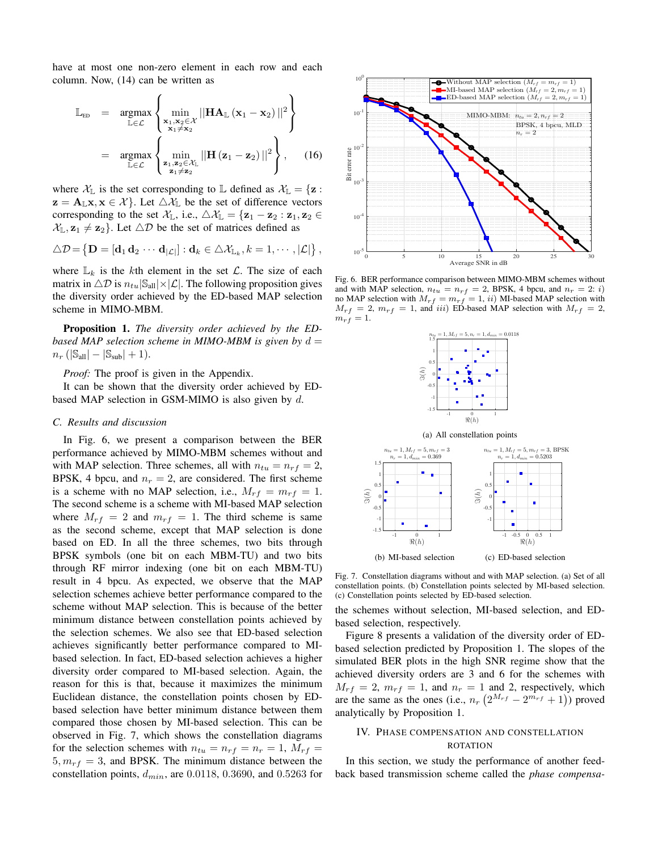have at most one non-zero element in each row and each column. Now, (14) can be written as

$$
\mathbb{L}_{ED} = \underset{\mathbb{L} \in \mathcal{L}}{\operatorname{argmax}} \left\{ \underset{\mathbf{x}_1, \mathbf{x}_2 \in \mathcal{X}_L}{\operatorname{min}} ||\mathbf{H} \mathbf{A}_{\mathbb{L}} (\mathbf{x}_1 - \mathbf{x}_2) ||^2 \right\}
$$
\n
$$
= \underset{\mathbb{L} \in \mathcal{L}}{\operatorname{argmax}} \left\{ \underset{\mathbf{z}_1, \mathbf{z}_2 \in \mathcal{X}_L}{\operatorname{min}} ||\mathbf{H} (\mathbf{z}_1 - \mathbf{z}_2) ||^2 \right\}, \quad (16)
$$

where  $\mathcal{X}_{\mathbb{L}}$  is the set corresponding to  $\mathbb{L}$  defined as  $\mathcal{X}_{\mathbb{L}} = {\mathbf{z}}$ :  $z = A_{\mathbb{L}}x, x \in \mathcal{X}$ . Let  $\triangle \mathcal{X}_{\mathbb{L}}$  be the set of difference vectors corresponding to the set  $\mathcal{X}_{\mathbb{L}}$ , i.e.,  $\triangle \mathcal{X}_{\mathbb{L}} = {\mathbf{z}_1 - \mathbf{z}_2 : \mathbf{z}_1, \mathbf{z}_2 \in \mathcal{X}_{\mathbb{L}}$  $\mathcal{X}_{\mathbb{L}}, \mathbf{z}_1 \neq \mathbf{z}_2$ . Let  $\triangle \mathcal{D}$  be the set of matrices defined as

$$
\triangle \mathcal{D} = \left\{ \mathbf{D} = \left[ \mathbf{d}_1 \, \mathbf{d}_2 \, \cdots \, \mathbf{d}_{|\mathcal{L}|} \right] : \mathbf{d}_k \in \triangle \mathcal{X}_{\mathbb{L}_k}, k = 1, \cdots, |\mathcal{L}| \right\},\,
$$

where  $\mathbb{L}_k$  is the kth element in the set  $\mathcal{L}$ . The size of each matrix in  $\Delta \mathcal{D}$  is  $n_{tu}|\mathcal{S}_{all}| \times |\mathcal{L}|$ . The following proposition gives the diversity order achieved by the ED-based MAP selection scheme in MIMO-MBM.

Proposition 1. *The diversity order achieved by the EDbased MAP selection scheme in MIMO-MBM is given by*  $d =$  $n_r$  ( $|\mathbb{S}_{all}| - |\mathbb{S}_{sub}| + 1$ ).

*Proof:* The proof is given in the Appendix.

It can be shown that the diversity order achieved by EDbased MAP selection in GSM-MIMO is also given by  $d$ .

#### *C. Results and discussion*

In Fig. 6, we present a comparison between the BER performance achieved by MIMO-MBM schemes without and with MAP selection. Three schemes, all with  $n_{tu} = n_{rf} = 2$ , BPSK, 4 bpcu, and  $n_r = 2$ , are considered. The first scheme is a scheme with no MAP selection, i.e.,  $M_{rf} = m_{rf} = 1$ . The second scheme is a scheme with MI-based MAP selection where  $M_{rf} = 2$  and  $m_{rf} = 1$ . The third scheme is same as the second scheme, except that MAP selection is done based on ED. In all the three schemes, two bits through BPSK symbols (one bit on each MBM-TU) and two bits through RF mirror indexing (one bit on each MBM-TU) result in 4 bpcu. As expected, we observe that the MAP selection schemes achieve better performance compared to the scheme without MAP selection. This is because of the better minimum distance between constellation points achieved by the selection schemes. We also see that ED-based selection achieves significantly better performance compared to MIbased selection. In fact, ED-based selection achieves a higher diversity order compared to MI-based selection. Again, the reason for this is that, because it maximizes the minimum Euclidean distance, the constellation points chosen by EDbased selection have better minimum distance between them compared those chosen by MI-based selection. This can be observed in Fig. 7, which shows the constellation diagrams for the selection schemes with  $n_{tu} = n_{rf} = n_r = 1$ ,  $M_{rf} =$  $5, m_{rf} = 3$ , and BPSK. The minimum distance between the constellation points,  $d_{min}$ , are 0.0118, 0.3690, and 0.5263 for



Fig. 6. BER performance comparison between MIMO-MBM schemes without and with MAP selection,  $n_{tu} = n_{rf} = 2$ , BPSK, 4 bpcu, and  $n_r = 2$ : *i*) no MAP selection with  $M_{rf} = m_{rf} = 1$ , *ii*) MI-based MAP selection with  $M_{rf} = 2$ ,  $m_{rf} = 1$ , and iii) ED-based MAP selection with  $M_{rf} = 2$ ,  $m_{rf}$  = 1.





Fig. 7. Constellation diagrams without and with MAP selection. (a) Set of all constellation points. (b) Constellation points selected by MI-based selection. (c) Constellation points selected by ED-based selection.

the schemes without selection, MI-based selection, and EDbased selection, respectively.

Figure 8 presents a validation of the diversity order of EDbased selection predicted by Proposition 1. The slopes of the simulated BER plots in the high SNR regime show that the achieved diversity orders are 3 and 6 for the schemes with  $M_{rf} = 2$ ,  $m_{rf} = 1$ , and  $n_r = 1$  and 2, respectively, which are the same as the ones (i.e.,  $n_r (2^{M_{rf}} - 2^{m_{rf}} + 1)$ ) proved analytically by Proposition 1.

# IV. PHASE COMPENSATION AND CONSTELLATION ROTATION

In this section, we study the performance of another feedback based transmission scheme called the *phase compensa-*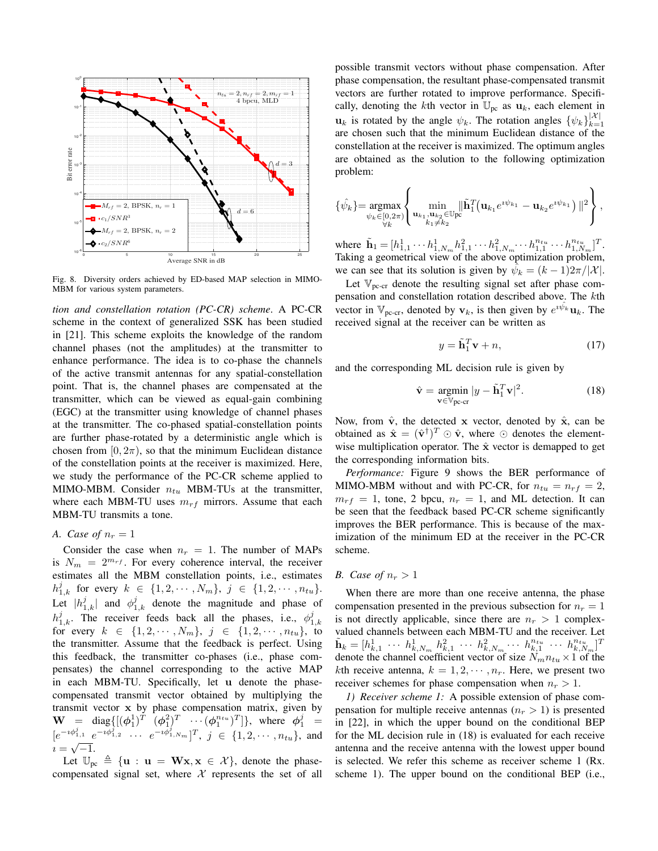

Fig. 8. Diversity orders achieved by ED-based MAP selection in MIMO-MBM for various system parameters.

*tion and constellation rotation (PC-CR) scheme*. A PC-CR scheme in the context of generalized SSK has been studied in [21]. This scheme exploits the knowledge of the random channel phases (not the amplitudes) at the transmitter to enhance performance. The idea is to co-phase the channels of the active transmit antennas for any spatial-constellation point. That is, the channel phases are compensated at the transmitter, which can be viewed as equal-gain combining (EGC) at the transmitter using knowledge of channel phases at the transmitter. The co-phased spatial-constellation points are further phase-rotated by a deterministic angle which is chosen from  $[0, 2\pi)$ , so that the minimum Euclidean distance of the constellation points at the receiver is maximized. Here, we study the performance of the PC-CR scheme applied to MIMO-MBM. Consider  $n_{tu}$  MBM-TUs at the transmitter, where each MBM-TU uses  $m_{rf}$  mirrors. Assume that each MBM-TU transmits a tone.

# *A. Case of*  $n_r = 1$

Consider the case when  $n_r = 1$ . The number of MAPs is  $N_m = 2^{m_{rf}}$ . For every coherence interval, the receiver estimates all the MBM constellation points, i.e., estimates  $h_{1,k}^j$  for every  $k \in \{1, 2, \cdots, N_m\}, \ j \in \{1, 2, \cdots, n_{tu}\}.$ Let  $|h_{1,k}^j|$  and  $\phi_{1,k}^j$  denote the magnitude and phase of  $h_{1,k}^j$ . The receiver feeds back all the phases, i.e.,  $\phi_{1,k}^j$ for every  $k \in \{1, 2, \cdots, N_m\}, j \in \{1, 2, \cdots, n_{tu}\},\$ to the transmitter. Assume that the feedback is perfect. Using this feedback, the transmitter co-phases (i.e., phase compensates) the channel corresponding to the active MAP in each MBM-TU. Specifically, let u denote the phasecompensated transmit vector obtained by multiplying the transmit vector x by phase compensation matrix, given by  $\mathbf{W} = \text{diag}\{ [(\phi_1^1)^T \ (\phi_1^2)^T \ \cdots (\phi_1^{n_{tu}})^T ] \}, \text{ where } \phi_1^j =$  $[e^{-i\phi_{1,1}^j} \ e^{-i\phi_{1,2}^j} \ \cdots \ e^{-i\phi_{1,N_m}^j}]^T$ ,  $j \in \{1,2,\dots,n_{tu}\}$ , and  $i = \sqrt{-1}.$ 

Let  $\mathbb{U}_{\text{pc}} \triangleq {\mathbf{u}} : \mathbf{u} = \mathbf{W}\mathbf{x}, \mathbf{x} \in \mathcal{X}$ , denote the phasecompensated signal set, where  $X$  represents the set of all possible transmit vectors without phase compensation. After phase compensation, the resultant phase-compensated transmit vectors are further rotated to improve performance. Specifically, denoting the kth vector in  $\mathbb{U}_{\text{pc}}$  as  $\mathbf{u}_k$ , each element in  $\mathbf{u}_k$  is rotated by the angle  $\psi_k$ . The rotation angles  $\{\psi_k\}_{k=1}^{|\mathcal{X}|}$  $k=1$ are chosen such that the minimum Euclidean distance of the constellation at the receiver is maximized. The optimum angles are obtained as the solution to the following optimization problem:

$$
\{\hat{\psi_k}\} = \underset{\substack{\psi_k \in [0,2\pi) \\ \forall k}}{\text{argmax}} \left\{ \underset{\substack{\mathbf{u}_{k_1}, \mathbf{u}_{k_2} \in \mathbb{U}_{\text{pc}} \\ k_1 \neq k_2}}{\min} \|\tilde{\mathbf{h}}_1^T(\mathbf{u}_{k_1} e^{i\psi_{k_1}} - \mathbf{u}_{k_2} e^{i\psi_{k_1}}) \|^2 \right\},
$$

where  $\tilde{\mathbf{h}}_1 = [h_{1,1}^1 \cdots h_{1,N_m}^1 h_{1,1}^2 \cdots h_{1,N_m}^2 \cdots h_{1,1}^{n_{tu}} \cdots h_{1,N_m}^{n_{tu}}]^T$ . Taking a geometrical view of the above optimization problem, we can see that its solution is given by  $\hat{\psi}_k = (k-1)2\pi/|\mathcal{X}|$ .

Let  $\mathbb{V}_{\text{pc-cr}}$  denote the resulting signal set after phase compensation and constellation rotation described above. The kth vector in  $\mathbb{V}_{\text{pc-cr}}$ , denoted by  $\mathbf{v}_k$ , is then given by  $e^{i \hat{\psi}_k} \mathbf{u}_k$ . The received signal at the receiver can be written as

$$
y = \tilde{\mathbf{h}}_1^T \mathbf{v} + n,\tag{17}
$$

and the corresponding ML decision rule is given by

$$
\hat{\mathbf{v}} = \underset{\mathbf{v} \in \mathbb{V}_{\text{pc-cr}}}{\text{argmin}} |y - \tilde{\mathbf{h}}_1^T \mathbf{v}|^2. \tag{18}
$$

Now, from  $\hat{v}$ , the detected x vector, denoted by  $\hat{x}$ , can be obtained as  $\hat{\mathbf{x}} = (\hat{\mathbf{v}}^{\dagger})^T \odot \hat{\mathbf{v}}$ , where  $\odot$  denotes the elementwise multiplication operator. The  $\hat{x}$  vector is demapped to get the corresponding information bits.

*Performance:* Figure 9 shows the BER performance of MIMO-MBM without and with PC-CR, for  $n_{tu} = n_{rf} = 2$ ,  $m_{rf} = 1$ , tone, 2 bpcu,  $n_r = 1$ , and ML detection. It can be seen that the feedback based PC-CR scheme significantly improves the BER performance. This is because of the maximization of the minimum ED at the receiver in the PC-CR scheme.

# *B.* Case of  $n_r > 1$

When there are more than one receive antenna, the phase compensation presented in the previous subsection for  $n_r = 1$ is not directly applicable, since there are  $n_r > 1$  complexvalued channels between each MBM-TU and the receiver. Let  $\tilde{\mathbf{h}}_k = [h_{k,1}^1 \ \cdots \ h_{k,N_m}^1 \ h_{k,1}^2 \ \cdots \ h_{k,N_m}^2 \cdots \ h_{k,1}^{n_{tu}} \ \cdots \ h_{k,N_m}^{n_{tu}}]^T$ denote the channel coefficient vector of size  $N_m n_{tu} \times 1$  of the kth receive antenna,  $k = 1, 2, \dots, n_r$ . Here, we present two receiver schemes for phase compensation when  $n_r > 1$ .

*1) Receiver scheme 1:* A possible extension of phase compensation for multiple receive antennas  $(n_r > 1)$  is presented in [22], in which the upper bound on the conditional BEP for the ML decision rule in (18) is evaluated for each receive antenna and the receive antenna with the lowest upper bound is selected. We refer this scheme as receiver scheme 1 (Rx. scheme 1). The upper bound on the conditional BEP (i.e.,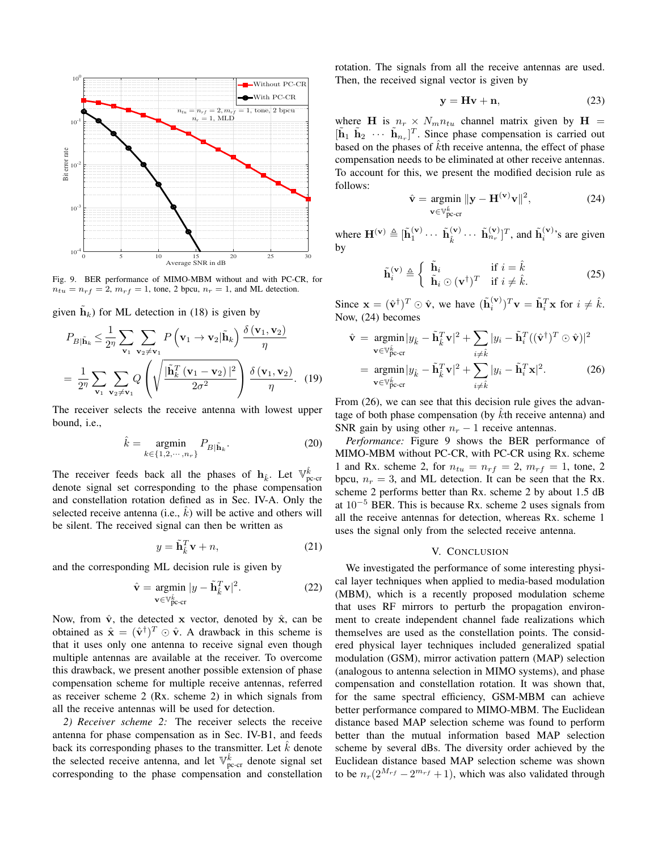

Fig. 9. BER performance of MIMO-MBM without and with PC-CR, for  $n_{tu} = n_{rf} = 2$ ,  $m_{rf} = 1$ , tone, 2 bpcu,  $n_r = 1$ , and ML detection.

given  $\tilde{\mathbf{h}}_k$ ) for ML detection in (18) is given by

$$
P_{B|\tilde{\mathbf{h}}_k} \leq \frac{1}{2\eta} \sum_{\mathbf{v}_1} \sum_{\mathbf{v}_2 \neq \mathbf{v}_1} P\left(\mathbf{v}_1 \to \mathbf{v}_2 | \tilde{\mathbf{h}}_k\right) \frac{\delta\left(\mathbf{v}_1, \mathbf{v}_2\right)}{\eta}
$$

$$
= \frac{1}{2\eta} \sum_{\mathbf{v}_1} \sum_{\mathbf{v}_2 \neq \mathbf{v}_1} Q\left(\sqrt{\frac{|\tilde{\mathbf{h}}_k^T\left(\mathbf{v}_1 - \mathbf{v}_2\right)|^2}{2\sigma^2}}\right) \frac{\delta\left(\mathbf{v}_1, \mathbf{v}_2\right)}{\eta}. \quad (19)
$$

The receiver selects the receive antenna with lowest upper bound, i.e.,

$$
\hat{k} = \underset{k \in \{1, 2, \cdots, n_r\}}{\operatorname{argmin}} P_{B|\tilde{\mathbf{h}}_k}.
$$
\n(20)

The receiver feeds back all the phases of  $\mathbf{h}_{\hat{k}}$ . Let  $\mathbb{V}_{\text{pc-cr}}^{\hat{k}}$ denote signal set corresponding to the phase compensation and constellation rotation defined as in Sec. IV-A. Only the selected receive antenna (i.e.,  $\hat{k}$ ) will be active and others will be silent. The received signal can then be written as

$$
y = \tilde{\mathbf{h}}_k^T \mathbf{v} + n,\tag{21}
$$

and the corresponding ML decision rule is given by

$$
\hat{\mathbf{v}} = \underset{\mathbf{v} \in \mathbb{V}_{\text{pc-cr}}^{\hat{k}}}{\text{argmin}} |y - \tilde{\mathbf{h}}_{\hat{k}}^T \mathbf{v}|^2. \tag{22}
$$

Now, from  $\hat{v}$ , the detected x vector, denoted by  $\hat{x}$ , can be obtained as  $\hat{\mathbf{x}} = (\hat{\mathbf{v}}^{\dagger})^T \odot \hat{\mathbf{v}}$ . A drawback in this scheme is that it uses only one antenna to receive signal even though multiple antennas are available at the receiver. To overcome this drawback, we present another possible extension of phase compensation scheme for multiple receive antennas, referred as receiver scheme 2 (Rx. scheme 2) in which signals from all the receive antennas will be used for detection.

*2) Receiver scheme 2:* The receiver selects the receive antenna for phase compensation as in Sec. IV-B1, and feeds back its corresponding phases to the transmitter. Let  $k$  denote the selected receive antenna, and let  $\mathbb{V}_{\text{pc-cr}}^{\hat{k}}$  denote signal set corresponding to the phase compensation and constellation rotation. The signals from all the receive antennas are used. Then, the received signal vector is given by

$$
y = Hv + n,\t(23)
$$

where H is  $n_r \times N_m n_{tu}$  channel matrix given by H =  $[\tilde{\mathbf{h}}_1 \; \tilde{\mathbf{h}}_2 \; \cdots \; \tilde{\mathbf{h}}_{n_r}]^T$ . Since phase compensation is carried out based on the phases of  $\hat{k}$ th receive antenna, the effect of phase compensation needs to be eliminated at other receive antennas. To account for this, we present the modified decision rule as follows:

$$
\hat{\mathbf{v}} = \underset{\mathbf{v} \in \mathbb{V}_{\text{p-cr}}^{\hat{\mathbf{v}}}}{\text{argmin}} \|\mathbf{y} - \mathbf{H}^{(\mathbf{v})}\mathbf{v}\|^2, \tag{24}
$$

where  $\mathbf{H}^{(\mathbf{v})} \triangleq [\tilde{\mathbf{h}}_1^{(\mathbf{v})} \cdots \tilde{\mathbf{h}}_k^{(\mathbf{v})}]$  $(\hat{\mathbf{k}}^{(\mathbf{v})}) \cdots \tilde{\mathbf{h}}_{n_r}^{(\mathbf{v})})^T$ , and  $\tilde{\mathbf{h}}_i^{(\mathbf{v})}$ 's are given by

$$
\tilde{\mathbf{h}}_i^{(\mathbf{v})} \triangleq \begin{cases} \tilde{\mathbf{h}}_i & \text{if } i = \hat{k} \\ \tilde{\mathbf{h}}_i \odot (\mathbf{v}^\dagger)^T & \text{if } i \neq \hat{k} . \end{cases}
$$
 (25)

Since  $\mathbf{x} = (\hat{\mathbf{v}}^{\dagger})^T \odot \hat{\mathbf{v}}$ , we have  $(\tilde{\mathbf{h}}_i^{(\mathbf{v})})^T \mathbf{v} = \tilde{\mathbf{h}}_i^T \mathbf{x}$  for  $i \neq \hat{k}$ . Now, (24) becomes

$$
\hat{\mathbf{v}} = \underset{\mathbf{v} \in \mathbb{V}_{\text{pc-cr}}^{k}}{\operatorname{argmin}} |y_{\hat{k}} - \tilde{\mathbf{h}}_{\hat{k}}^{T} \mathbf{v}|^{2} + \sum_{i \neq \hat{k}} |y_{i} - \tilde{\mathbf{h}}_{i}^{T}((\hat{\mathbf{v}}^{\dagger})^{T} \odot \hat{\mathbf{v}})|^{2}
$$
\n
$$
= \underset{\mathbf{v} \in \mathbb{V}_{\text{pc-cr}}^{k}}{\operatorname{argmin}} |y_{\hat{k}} - \tilde{\mathbf{h}}_{\hat{k}}^{T} \mathbf{v}|^{2} + \sum_{i \neq \hat{k}} |y_{i} - \tilde{\mathbf{h}}_{i}^{T} \mathbf{x}|^{2}.
$$
\n(26)

From  $(26)$ , we can see that this decision rule gives the advantage of both phase compensation (by  $\hat{k}$ th receive antenna) and SNR gain by using other  $n_r - 1$  receive antennas.

*Performance:* Figure 9 shows the BER performance of MIMO-MBM without PC-CR, with PC-CR using Rx. scheme 1 and Rx. scheme 2, for  $n_{tu} = n_{rf} = 2$ ,  $m_{rf} = 1$ , tone, 2 bpcu,  $n_r = 3$ , and ML detection. It can be seen that the Rx. scheme 2 performs better than Rx. scheme 2 by about 1.5 dB at  $10^{-5}$  BER. This is because Rx. scheme 2 uses signals from all the receive antennas for detection, whereas Rx. scheme 1 uses the signal only from the selected receive antenna.

# V. CONCLUSION

We investigated the performance of some interesting physical layer techniques when applied to media-based modulation (MBM), which is a recently proposed modulation scheme that uses RF mirrors to perturb the propagation environment to create independent channel fade realizations which themselves are used as the constellation points. The considered physical layer techniques included generalized spatial modulation (GSM), mirror activation pattern (MAP) selection (analogous to antenna selection in MIMO systems), and phase compensation and constellation rotation. It was shown that, for the same spectral efficiency, GSM-MBM can achieve better performance compared to MIMO-MBM. The Euclidean distance based MAP selection scheme was found to perform better than the mutual information based MAP selection scheme by several dBs. The diversity order achieved by the Euclidean distance based MAP selection scheme was shown to be  $n_r(2^{M_{rf}} - 2^{m_{rf}} + 1)$ , which was also validated through